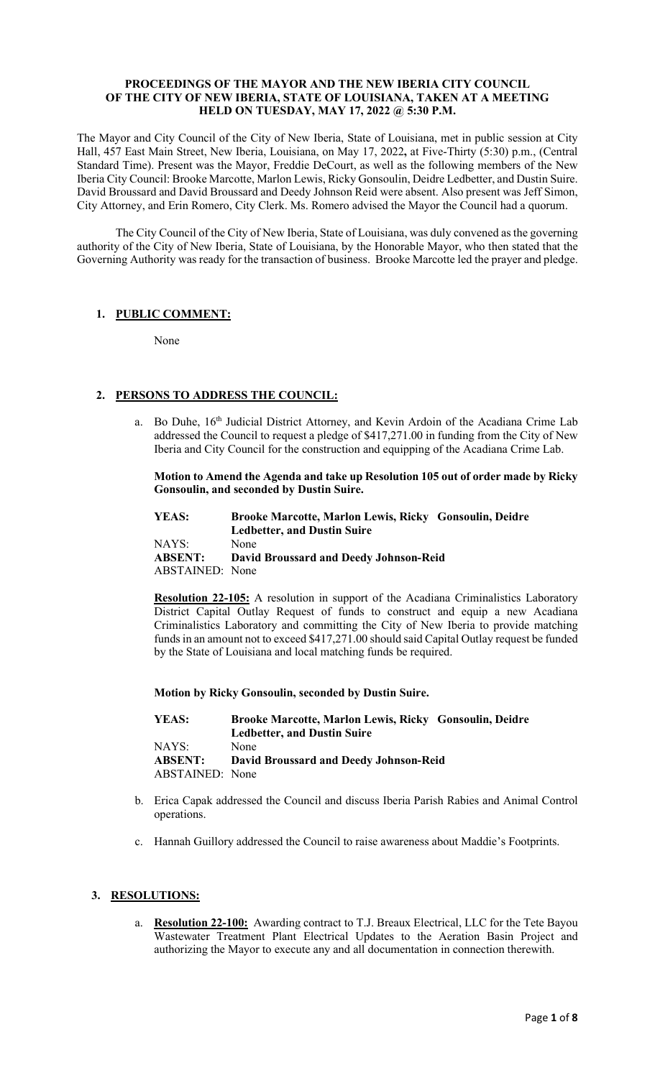#### **PROCEEDINGS OF THE MAYOR AND THE NEW IBERIA CITY COUNCIL OF THE CITY OF NEW IBERIA, STATE OF LOUISIANA, TAKEN AT A MEETING HELD ON TUESDAY, MAY 17, 2022 @ 5:30 P.M.**

The Mayor and City Council of the City of New Iberia, State of Louisiana, met in public session at City Hall, 457 East Main Street, New Iberia, Louisiana, on May 17, 2022**,** at Five-Thirty (5:30) p.m., (Central Standard Time). Present was the Mayor, Freddie DeCourt, as well as the following members of the New Iberia City Council: Brooke Marcotte, Marlon Lewis, Ricky Gonsoulin, Deidre Ledbetter, and Dustin Suire. David Broussard and David Broussard and Deedy Johnson Reid were absent. Also present was Jeff Simon, City Attorney, and Erin Romero, City Clerk. Ms. Romero advised the Mayor the Council had a quorum.

The City Council of the City of New Iberia, State of Louisiana, was duly convened as the governing authority of the City of New Iberia, State of Louisiana, by the Honorable Mayor, who then stated that the Governing Authority was ready for the transaction of business. Brooke Marcotte led the prayer and pledge.

## **1. PUBLIC COMMENT:**

None

# **2. PERSONS TO ADDRESS THE COUNCIL:**

a. Bo Duhe, 16<sup>th</sup> Judicial District Attorney, and Kevin Ardoin of the Acadiana Crime Lab addressed the Council to request a pledge of \$417,271.00 in funding from the City of New Iberia and City Council for the construction and equipping of the Acadiana Crime Lab.

### **Motion to Amend the Agenda and take up Resolution 105 out of order made by Ricky Gonsoulin, and seconded by Dustin Suire.**

| YEAS:           | Brooke Marcotte, Marlon Lewis, Ricky Gonsoulin, Deidre |
|-----------------|--------------------------------------------------------|
|                 | <b>Ledbetter, and Dustin Suire</b>                     |
| NAYS:           | None                                                   |
| <b>ABSENT:</b>  | <b>David Broussard and Deedy Johnson-Reid</b>          |
| ABSTAINED: None |                                                        |

**Resolution 22-105:** A resolution in support of the Acadiana Criminalistics Laboratory District Capital Outlay Request of funds to construct and equip a new Acadiana Criminalistics Laboratory and committing the City of New Iberia to provide matching funds in an amount not to exceed \$417,271.00 should said Capital Outlay request be funded by the State of Louisiana and local matching funds be required.

## **Motion by Ricky Gonsoulin, seconded by Dustin Suire.**

| YEAS:                  | Brooke Marcotte, Marlon Lewis, Ricky Gonsoulin, Deidre |
|------------------------|--------------------------------------------------------|
|                        | <b>Ledbetter, and Dustin Suire</b>                     |
| NAYS:                  | None                                                   |
| <b>ABSENT:</b>         | <b>David Broussard and Deedy Johnson-Reid</b>          |
| <b>ABSTAINED:</b> None |                                                        |

- b. Erica Capak addressed the Council and discuss Iberia Parish Rabies and Animal Control operations.
- c. Hannah Guillory addressed the Council to raise awareness about Maddie's Footprints.

## **3. RESOLUTIONS:**

Resolution 22-100: Awarding contract to T.J. Breaux Electrical, LLC for the Tete Bayou Wastewater Treatment Plant Electrical Updates to the Aeration Basin Project and authorizing the Mayor to execute any and all documentation in connection therewith.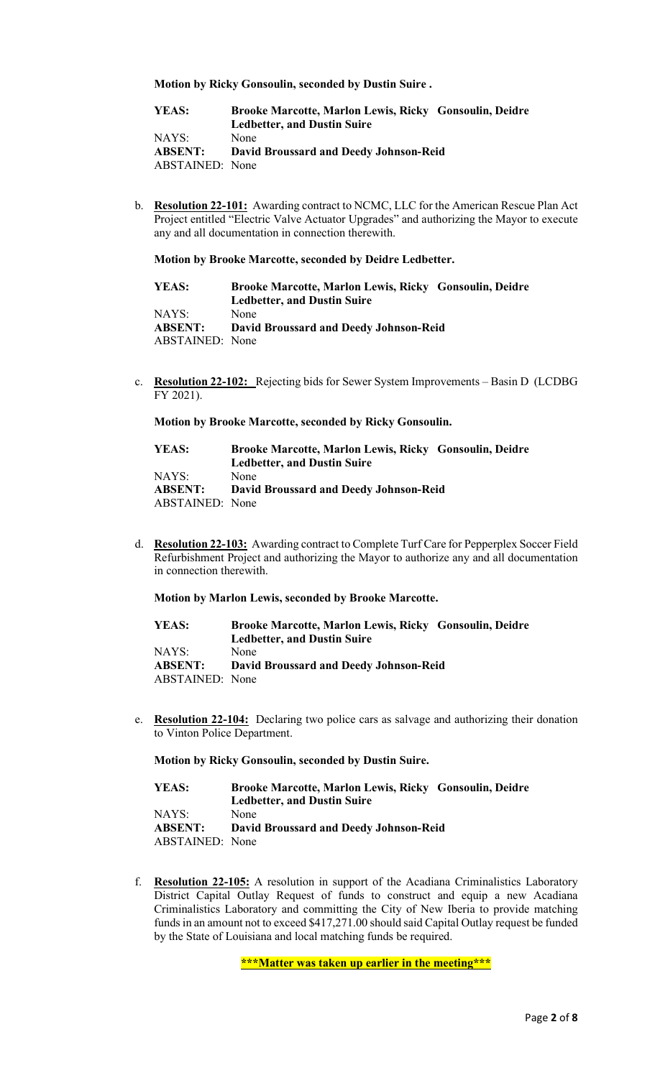**Motion by Ricky Gonsoulin, seconded by Dustin Suire .**

| YEAS:           | Brooke Marcotte, Marlon Lewis, Ricky Gonsoulin, Deidre |
|-----------------|--------------------------------------------------------|
|                 | <b>Ledbetter, and Dustin Suire</b>                     |
| NAYS:           | None                                                   |
| <b>ABSENT:</b>  | <b>David Broussard and Deedy Johnson-Reid</b>          |
| ABSTAINED: None |                                                        |

b. **Resolution 22-101:** Awarding contract to NCMC, LLC for the American Rescue Plan Act Project entitled "Electric Valve Actuator Upgrades" and authorizing the Mayor to execute any and all documentation in connection therewith.

#### **Motion by Brooke Marcotte, seconded by Deidre Ledbetter.**

| YEAS:           | Brooke Marcotte, Marlon Lewis, Ricky Gonsoulin, Deidre |
|-----------------|--------------------------------------------------------|
|                 | <b>Ledbetter, and Dustin Suire</b>                     |
| NAYS:           | None                                                   |
| <b>ABSENT:</b>  | David Broussard and Deedy Johnson-Reid                 |
| ABSTAINED: None |                                                        |

c. **Resolution 22-102:** Rejecting bids for Sewer System Improvements – Basin D (LCDBG FY 2021).

**Motion by Brooke Marcotte, seconded by Ricky Gonsoulin.**

| YEAS:           | Brooke Marcotte, Marlon Lewis, Ricky Gonsoulin, Deidre |
|-----------------|--------------------------------------------------------|
|                 | <b>Ledbetter, and Dustin Suire</b>                     |
| NAYS:           | None                                                   |
| <b>ABSENT:</b>  | David Broussard and Deedy Johnson-Reid                 |
| ABSTAINED: None |                                                        |

d. **Resolution 22-103:** Awarding contract to Complete Turf Care for Pepperplex Soccer Field Refurbishment Project and authorizing the Mayor to authorize any and all documentation in connection therewith.

#### **Motion by Marlon Lewis, seconded by Brooke Marcotte.**

| YEAS:           | Brooke Marcotte, Marlon Lewis, Ricky Gonsoulin, Deidre<br><b>Ledbetter, and Dustin Suire</b> |
|-----------------|----------------------------------------------------------------------------------------------|
| NAYS:           | None                                                                                         |
| <b>ABSENT:</b>  | David Broussard and Deedy Johnson-Reid                                                       |
| ABSTAINED: None |                                                                                              |

e. **Resolution 22-104:** Declaring two police cars as salvage and authorizing their donation to Vinton Police Department.

**Motion by Ricky Gonsoulin, seconded by Dustin Suire.**

| Brooke Marcotte, Marlon Lewis, Ricky Gonsoulin, Deidre |
|--------------------------------------------------------|
| <b>Ledbetter, and Dustin Suire</b>                     |
| None                                                   |
| <b>David Broussard and Deedy Johnson-Reid</b>          |
| ABSTAINED: None                                        |
|                                                        |

f. **Resolution 22-105:** A resolution in support of the Acadiana Criminalistics Laboratory District Capital Outlay Request of funds to construct and equip a new Acadiana Criminalistics Laboratory and committing the City of New Iberia to provide matching funds in an amount not to exceed \$417,271.00 should said Capital Outlay request be funded by the State of Louisiana and local matching funds be required.

**\*\*\*Matter was taken up earlier in the meeting\*\*\***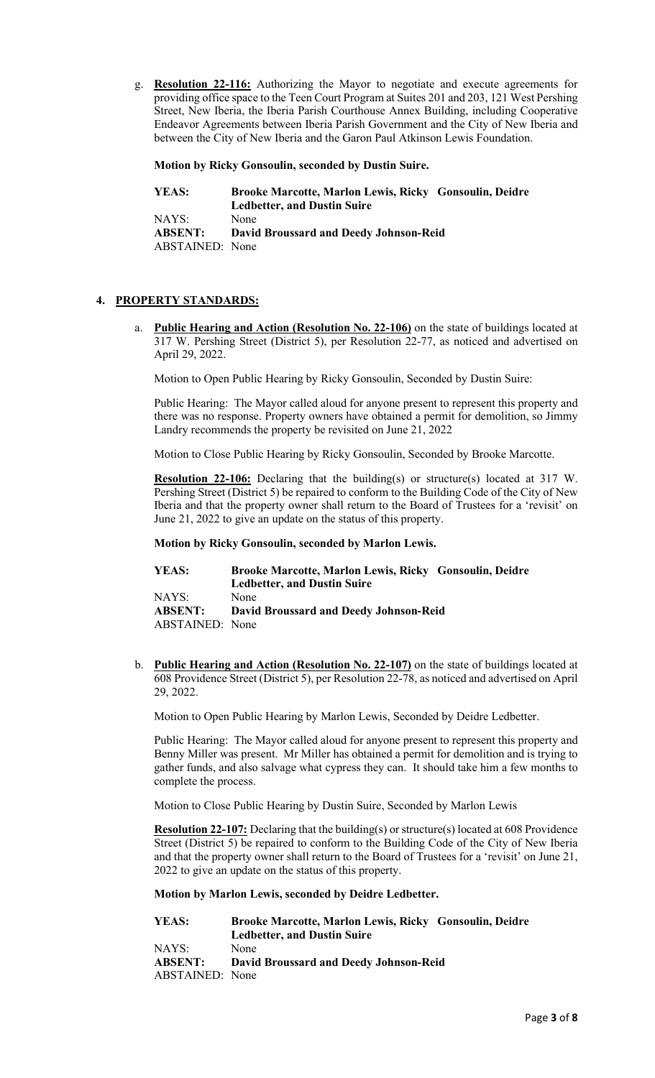g. **Resolution 22-116:** Authorizing the Mayor to negotiate and execute agreements for providing office space to the Teen Court Program at Suites 201 and 203, 121 West Pershing Street, New Iberia, the Iberia Parish Courthouse Annex Building, including Cooperative Endeavor Agreements between Iberia Parish Government and the City of New Iberia and between the City of New Iberia and the Garon Paul Atkinson Lewis Foundation.

## **Motion by Ricky Gonsoulin, seconded by Dustin Suire.**

| YEAS:                  | Brooke Marcotte, Marlon Lewis, Ricky Gonsoulin, Deidre |
|------------------------|--------------------------------------------------------|
|                        | <b>Ledbetter, and Dustin Suire</b>                     |
| NAYS:                  | None                                                   |
| <b>ABSENT:</b>         | David Broussard and Deedy Johnson-Reid                 |
| <b>ABSTAINED:</b> None |                                                        |

## **4. PROPERTY STANDARDS:**

**Public Hearing and Action (Resolution No. 22-106)** on the state of buildings located at 317 W. Pershing Street (District 5), per Resolution 22-77, as noticed and advertised on April 29, 2022.

Motion to Open Public Hearing by Ricky Gonsoulin, Seconded by Dustin Suire:

Public Hearing: The Mayor called aloud for anyone present to represent this property and there was no response. Property owners have obtained a permit for demolition, so Jimmy Landry recommends the property be revisited on June 21, 2022

Motion to Close Public Hearing by Ricky Gonsoulin, Seconded by Brooke Marcotte.

**Resolution 22-106:** Declaring that the building(s) or structure(s) located at 317 W. Pershing Street (District 5) be repaired to conform to the Building Code of the City of New Iberia and that the property owner shall return to the Board of Trustees for a 'revisit' on June 21, 2022 to give an update on the status of this property.

#### **Motion by Ricky Gonsoulin, seconded by Marlon Lewis.**

| YEAS:           | Brooke Marcotte, Marlon Lewis, Ricky Gonsoulin, Deidre |
|-----------------|--------------------------------------------------------|
|                 | <b>Ledbetter, and Dustin Suire</b>                     |
| NAYS:           | None                                                   |
| <b>ABSENT:</b>  | <b>David Broussard and Deedy Johnson-Reid</b>          |
| ABSTAINED: None |                                                        |

b. **Public Hearing and Action (Resolution No. 22-107)** on the state of buildings located at 608 Providence Street (District 5), per Resolution 22-78, as noticed and advertised on April 29, 2022.

Motion to Open Public Hearing by Marlon Lewis, Seconded by Deidre Ledbetter.

Public Hearing: The Mayor called aloud for anyone present to represent this property and Benny Miller was present. Mr Miller has obtained a permit for demolition and is trying to gather funds, and also salvage what cypress they can. It should take him a few months to complete the process.

Motion to Close Public Hearing by Dustin Suire, Seconded by Marlon Lewis

**Resolution 22-107:** Declaring that the building(s) or structure(s) located at 608 Providence Street (District 5) be repaired to conform to the Building Code of the City of New Iberia and that the property owner shall return to the Board of Trustees for a 'revisit' on June 21, 2022 to give an update on the status of this property.

### **Motion by Marlon Lewis, seconded by Deidre Ledbetter.**

| YEAS:           | Brooke Marcotte, Marlon Lewis, Ricky Gonsoulin, Deidre |
|-----------------|--------------------------------------------------------|
|                 | <b>Ledbetter, and Dustin Suire</b>                     |
| NAYS:           | None                                                   |
| <b>ABSENT:</b>  | David Broussard and Deedy Johnson-Reid                 |
| ABSTAINED: None |                                                        |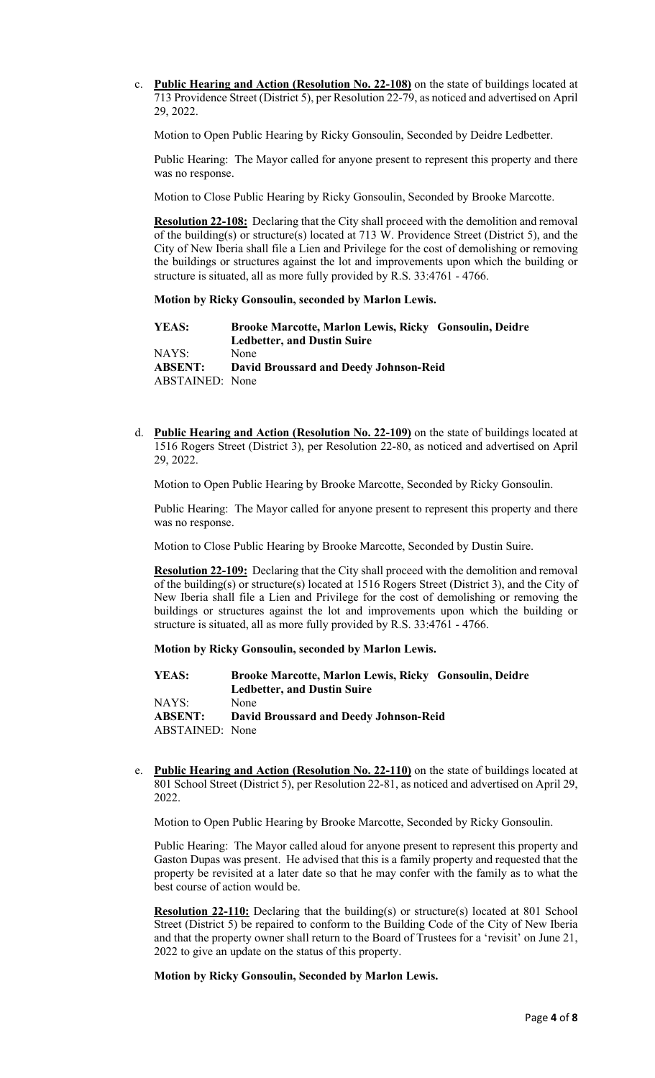c. **Public Hearing and Action (Resolution No. 22-108)** on the state of buildings located at 713 Providence Street (District 5), per Resolution 22-79, as noticed and advertised on April 29, 2022.

Motion to Open Public Hearing by Ricky Gonsoulin, Seconded by Deidre Ledbetter.

Public Hearing: The Mayor called for anyone present to represent this property and there was no response.

Motion to Close Public Hearing by Ricky Gonsoulin, Seconded by Brooke Marcotte.

**Resolution 22-108:** Declaring that the City shall proceed with the demolition and removal of the building(s) or structure(s) located at 713 W. Providence Street (District 5), and the City of New Iberia shall file a Lien and Privilege for the cost of demolishing or removing the buildings or structures against the lot and improvements upon which the building or structure is situated, all as more fully provided by R.S. 33:4761 - 4766.

#### **Motion by Ricky Gonsoulin, seconded by Marlon Lewis.**

**YEAS: Brooke Marcotte, Marlon Lewis, Ricky Gonsoulin, Deidre Ledbetter, and Dustin Suire** NAYS: None **ABSENT: David Broussard and Deedy Johnson-Reid** ABSTAINED: None

d. **Public Hearing and Action (Resolution No. 22-109)** on the state of buildings located at 1516 Rogers Street (District 3), per Resolution 22-80, as noticed and advertised on April 29, 2022.

Motion to Open Public Hearing by Brooke Marcotte, Seconded by Ricky Gonsoulin.

Public Hearing: The Mayor called for anyone present to represent this property and there was no response.

Motion to Close Public Hearing by Brooke Marcotte, Seconded by Dustin Suire.

**Resolution 22-109:** Declaring that the City shall proceed with the demolition and removal of the building(s) or structure(s) located at 1516 Rogers Street (District 3), and the City of New Iberia shall file a Lien and Privilege for the cost of demolishing or removing the buildings or structures against the lot and improvements upon which the building or structure is situated, all as more fully provided by R.S. 33:4761 - 4766.

**Motion by Ricky Gonsoulin, seconded by Marlon Lewis.**

**YEAS: Brooke Marcotte, Marlon Lewis, Ricky Gonsoulin, Deidre Ledbetter, and Dustin Suire** NAYS: None<br> **ABSENT: Davic ABSENT: David Broussard and Deedy Johnson-Reid** ABSTAINED: None

e. **Public Hearing and Action (Resolution No. 22-110)** on the state of buildings located at 801 School Street (District 5), per Resolution 22-81, as noticed and advertised on April 29, 2022.

Motion to Open Public Hearing by Brooke Marcotte, Seconded by Ricky Gonsoulin.

Public Hearing: The Mayor called aloud for anyone present to represent this property and Gaston Dupas was present. He advised that this is a family property and requested that the property be revisited at a later date so that he may confer with the family as to what the best course of action would be.

**Resolution 22-110:** Declaring that the building(s) or structure(s) located at 801 School Street (District 5) be repaired to conform to the Building Code of the City of New Iberia and that the property owner shall return to the Board of Trustees for a 'revisit' on June 21, 2022 to give an update on the status of this property.

**Motion by Ricky Gonsoulin, Seconded by Marlon Lewis.**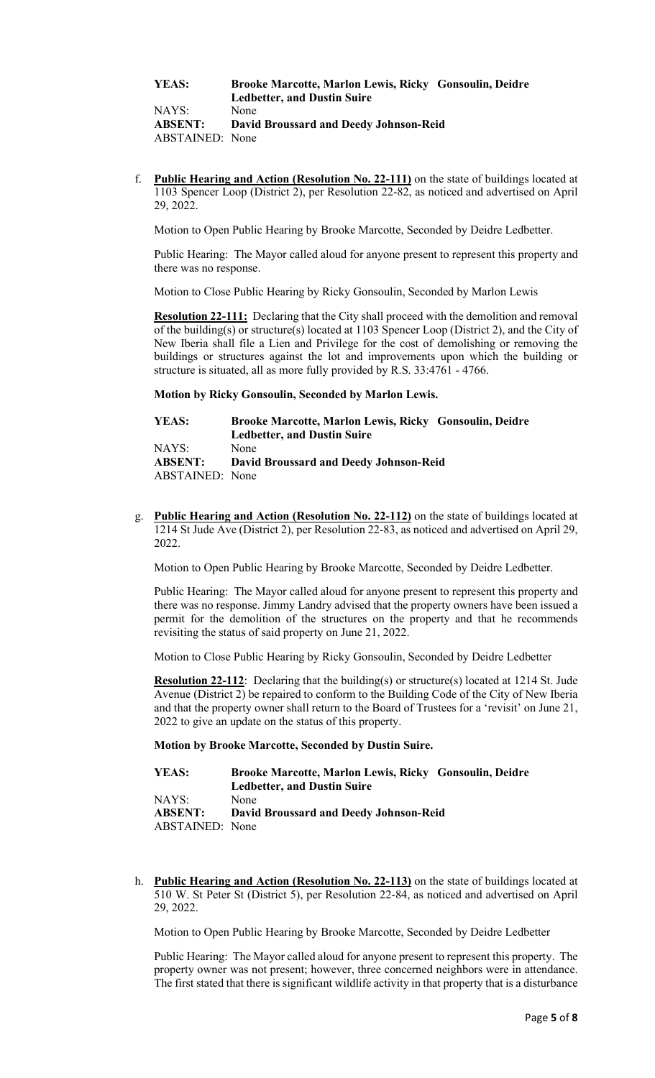**YEAS: Brooke Marcotte, Marlon Lewis, Ricky Gonsoulin, Deidre Ledbetter, and Dustin Suire**

NAYS: None **ABSENT: David Broussard and Deedy Johnson-Reid** ABSTAINED: None

f. **Public Hearing and Action (Resolution No. 22-111)** on the state of buildings located at 1103 Spencer Loop (District 2), per Resolution 22-82, as noticed and advertised on April 29, 2022.

Motion to Open Public Hearing by Brooke Marcotte, Seconded by Deidre Ledbetter.

Public Hearing: The Mayor called aloud for anyone present to represent this property and there was no response.

Motion to Close Public Hearing by Ricky Gonsoulin, Seconded by Marlon Lewis

**Resolution 22-111:** Declaring that the City shall proceed with the demolition and removal of the building(s) or structure(s) located at 1103 Spencer Loop (District 2), and the City of New Iberia shall file a Lien and Privilege for the cost of demolishing or removing the buildings or structures against the lot and improvements upon which the building or structure is situated, all as more fully provided by R.S. 33:4761 - 4766.

#### **Motion by Ricky Gonsoulin, Seconded by Marlon Lewis.**

| YEAS:           | Brooke Marcotte, Marlon Lewis, Ricky Gonsoulin, Deidre |
|-----------------|--------------------------------------------------------|
|                 | <b>Ledbetter, and Dustin Suire</b>                     |
| NAYS:           | None                                                   |
| <b>ABSENT:</b>  | David Broussard and Deedy Johnson-Reid                 |
| ABSTAINED: None |                                                        |

g. **Public Hearing and Action (Resolution No. 22-112)** on the state of buildings located at 1214 St Jude Ave (District 2), per Resolution 22-83, as noticed and advertised on April 29, 2022.

Motion to Open Public Hearing by Brooke Marcotte, Seconded by Deidre Ledbetter.

Public Hearing: The Mayor called aloud for anyone present to represent this property and there was no response. Jimmy Landry advised that the property owners have been issued a permit for the demolition of the structures on the property and that he recommends revisiting the status of said property on June 21, 2022.

Motion to Close Public Hearing by Ricky Gonsoulin, Seconded by Deidre Ledbetter

**Resolution 22-112**: Declaring that the building(s) or structure(s) located at 1214 St. Jude Avenue (District 2) be repaired to conform to the Building Code of the City of New Iberia and that the property owner shall return to the Board of Trustees for a 'revisit' on June 21, 2022 to give an update on the status of this property.

#### **Motion by Brooke Marcotte, Seconded by Dustin Suire.**

| YEAS:                  | Brooke Marcotte, Marlon Lewis, Ricky Gonsoulin, Deidre |
|------------------------|--------------------------------------------------------|
|                        | <b>Ledbetter, and Dustin Suire</b>                     |
| NAYS:                  | None                                                   |
| <b>ABSENT:</b>         | <b>David Broussard and Deedy Johnson-Reid</b>          |
| <b>ABSTAINED:</b> None |                                                        |

h. **Public Hearing and Action (Resolution No. 22-113)** on the state of buildings located at 510 W. St Peter St (District 5), per Resolution 22-84, as noticed and advertised on April 29, 2022.

Motion to Open Public Hearing by Brooke Marcotte, Seconded by Deidre Ledbetter

Public Hearing: The Mayor called aloud for anyone present to represent this property. The property owner was not present; however, three concerned neighbors were in attendance. The first stated that there is significant wildlife activity in that property that is a disturbance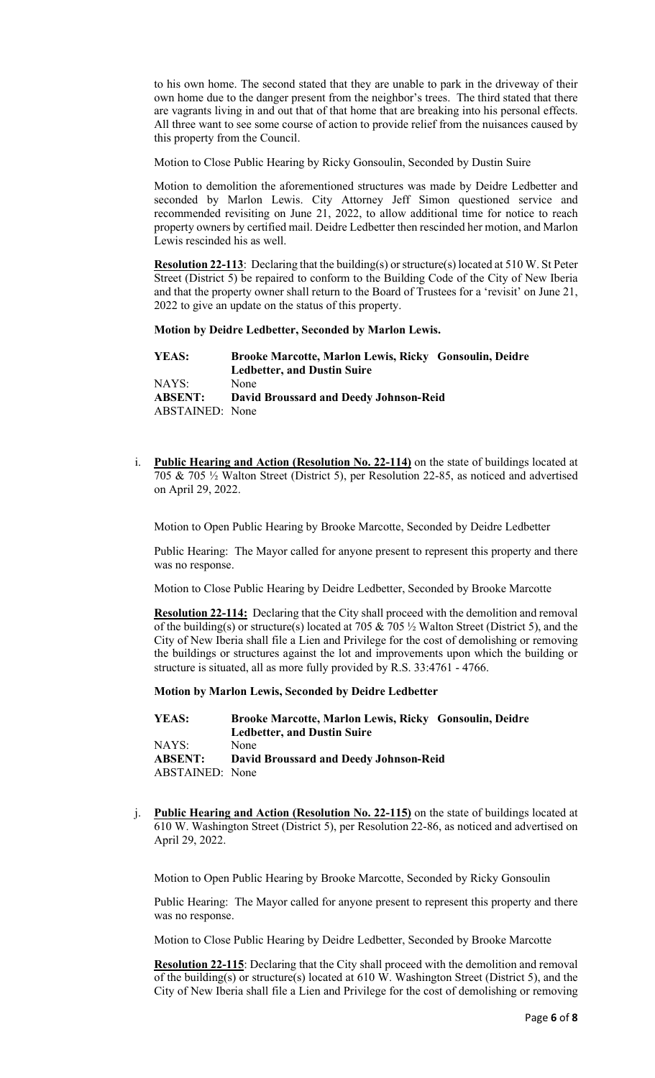to his own home. The second stated that they are unable to park in the driveway of their own home due to the danger present from the neighbor's trees. The third stated that there are vagrants living in and out that of that home that are breaking into his personal effects. All three want to see some course of action to provide relief from the nuisances caused by this property from the Council.

Motion to Close Public Hearing by Ricky Gonsoulin, Seconded by Dustin Suire

Motion to demolition the aforementioned structures was made by Deidre Ledbetter and seconded by Marlon Lewis. City Attorney Jeff Simon questioned service and recommended revisiting on June 21, 2022, to allow additional time for notice to reach property owners by certified mail. Deidre Ledbetter then rescinded her motion, and Marlon Lewis rescinded his as well.

**Resolution 22-113**: Declaring that the building(s) or structure(s) located at 510 W. St Peter Street (District 5) be repaired to conform to the Building Code of the City of New Iberia and that the property owner shall return to the Board of Trustees for a 'revisit' on June 21, 2022 to give an update on the status of this property.

**Motion by Deidre Ledbetter, Seconded by Marlon Lewis.**

| YEAS:                  | Brooke Marcotte, Marlon Lewis, Ricky Gonsoulin, Deidre |
|------------------------|--------------------------------------------------------|
|                        | <b>Ledbetter, and Dustin Suire</b>                     |
| NAYS:                  | None                                                   |
| <b>ABSENT:</b>         | David Broussard and Deedy Johnson-Reid                 |
| <b>ABSTAINED:</b> None |                                                        |

i. **Public Hearing and Action (Resolution No. 22-114)** on the state of buildings located at 705 & 705 ½ Walton Street (District 5), per Resolution 22-85, as noticed and advertised on April 29, 2022.

Motion to Open Public Hearing by Brooke Marcotte, Seconded by Deidre Ledbetter

Public Hearing: The Mayor called for anyone present to represent this property and there was no response.

Motion to Close Public Hearing by Deidre Ledbetter, Seconded by Brooke Marcotte

**Resolution 22-114:** Declaring that the City shall proceed with the demolition and removal of the building(s) or structure(s) located at 705 & 705  $\frac{1}{2}$  Walton Street (District 5), and the City of New Iberia shall file a Lien and Privilege for the cost of demolishing or removing the buildings or structures against the lot and improvements upon which the building or structure is situated, all as more fully provided by R.S. 33:4761 - 4766.

**Motion by Marlon Lewis, Seconded by Deidre Ledbetter**

**YEAS: Brooke Marcotte, Marlon Lewis, Ricky Gonsoulin, Deidre Ledbetter, and Dustin Suire** NAYS: None **ABSENT: David Broussard and Deedy Johnson-Reid** ABSTAINED: None

j. **Public Hearing and Action (Resolution No. 22-115)** on the state of buildings located at 610 W. Washington Street (District 5), per Resolution 22-86, as noticed and advertised on April 29, 2022.

Motion to Open Public Hearing by Brooke Marcotte, Seconded by Ricky Gonsoulin

Public Hearing: The Mayor called for anyone present to represent this property and there was no response.

Motion to Close Public Hearing by Deidre Ledbetter, Seconded by Brooke Marcotte

**Resolution 22-115**: Declaring that the City shall proceed with the demolition and removal of the building(s) or structure(s) located at 610 W. Washington Street (District 5), and the City of New Iberia shall file a Lien and Privilege for the cost of demolishing or removing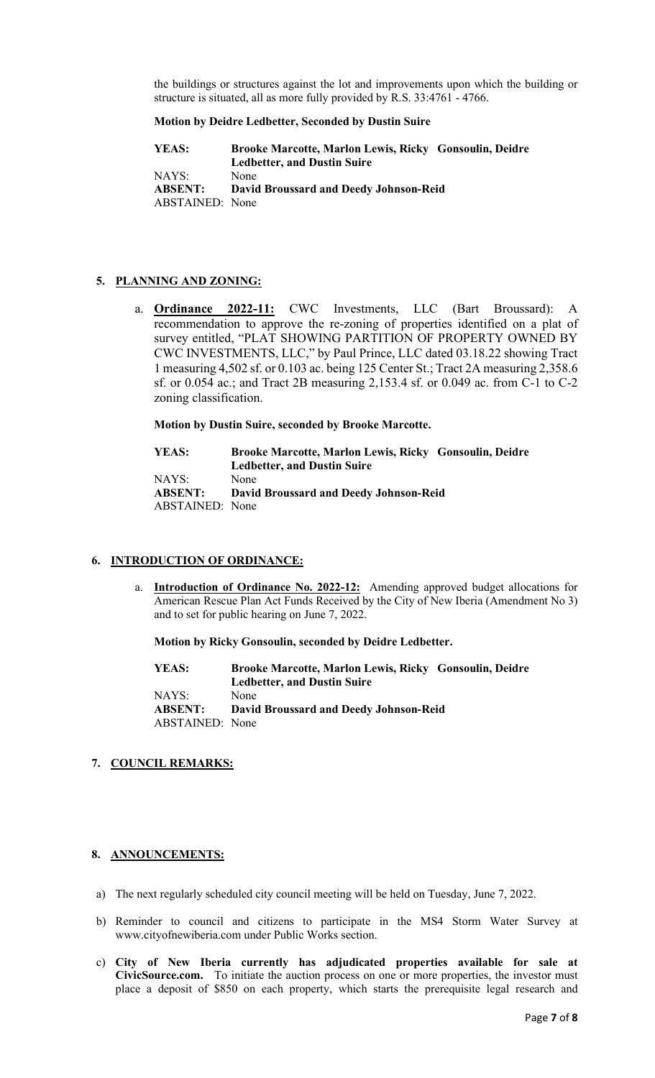the buildings or structures against the lot and improvements upon which the building or structure is situated, all as more fully provided by R.S. 33:4761 - 4766.

#### **Motion by Deidre Ledbetter, Seconded by Dustin Suire**

| YEAS:           | Brooke Marcotte, Marlon Lewis, Ricky Gonsoulin, Deidre |
|-----------------|--------------------------------------------------------|
|                 | <b>Ledbetter, and Dustin Suire</b>                     |
| NAYS:           | None                                                   |
| <b>ABSENT:</b>  | <b>David Broussard and Deedy Johnson-Reid</b>          |
| ABSTAINED: None |                                                        |

# **5. PLANNING AND ZONING:**

a. **Ordinance 2022-11:** CWC Investments, LLC (Bart Broussard): A recommendation to approve the re-zoning of properties identified on a plat of survey entitled, "PLAT SHOWING PARTITION OF PROPERTY OWNED BY CWC INVESTMENTS, LLC," by Paul Prince, LLC dated 03.18.22 showing Tract 1 measuring 4,502 sf. or 0.103 ac. being 125 Center St.; Tract 2A measuring 2,358.6 sf. or 0.054 ac.; and Tract 2B measuring 2,153.4 sf. or 0.049 ac. from C-1 to C-2 zoning classification.

**Motion by Dustin Suire, seconded by Brooke Marcotte.**

**YEAS: Brooke Marcotte, Marlon Lewis, Ricky Gonsoulin, Deidre Ledbetter, and Dustin Suire** NAYS: None **ABSENT: David Broussard and Deedy Johnson-Reid** ABSTAINED: None

### **6. INTRODUCTION OF ORDINANCE:**

a. **Introduction of Ordinance No. 2022-12:** Amending approved budget allocations for American Rescue Plan Act Funds Received by the City of New Iberia (Amendment No 3) and to set for public hearing on June 7, 2022.

**Motion by Ricky Gonsoulin, seconded by Deidre Ledbetter.**

**YEAS: Brooke Marcotte, Marlon Lewis, Ricky Gonsoulin, Deidre Ledbetter, and Dustin Suire** NAYS: None **ABSENT: David Broussard and Deedy Johnson-Reid** ABSTAINED: None

### **7. COUNCIL REMARKS:**

### **8. ANNOUNCEMENTS:**

- a) The next regularly scheduled city council meeting will be held on Tuesday, June 7, 2022.
- b) Reminder to council and citizens to participate in the MS4 Storm Water Survey at www.cityofnewiberia.com under Public Works section.
- c) **City of New Iberia currently has adjudicated properties available for sale at CivicSource.com.** To initiate the auction process on one or more properties, the investor must place a deposit of \$850 on each property, which starts the prerequisite legal research and